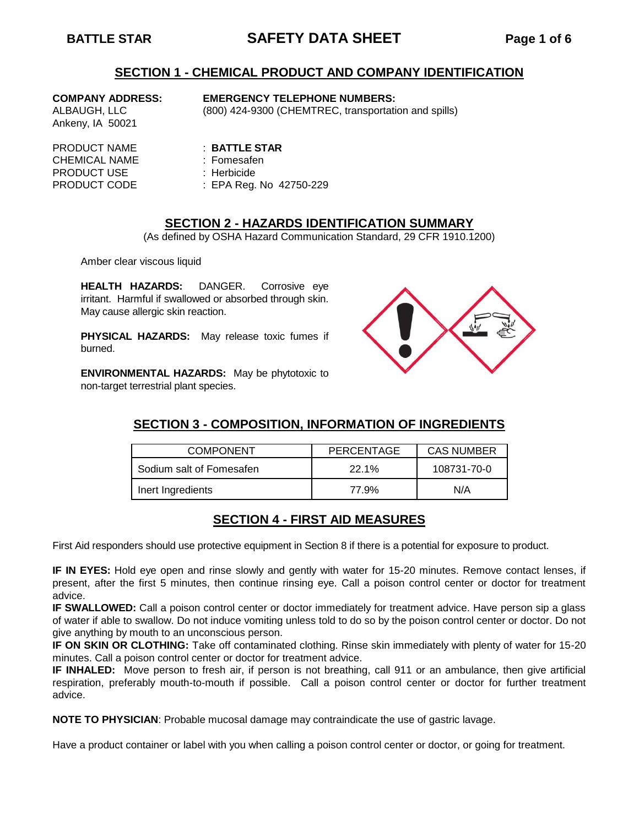# **BATTLE STAR SAFETY DATA SHEET Page 1 of 6**

#### **SECTION 1 - CHEMICAL PRODUCT AND COMPANY IDENTIFICATION**

Ankeny, IA 50021

#### **COMPANY ADDRESS: EMERGENCY TELEPHONE NUMBERS:**

ALBAUGH, LLC (800) 424-9300 (CHEMTREC, transportation and spills)

PRODUCT NAME : **BATTLE STAR** CHEMICAL NAME : Fomesafen PRODUCT USE : Herbicide

- 
- 
- PRODUCT CODE : EPA Reg. No 42750-229

#### **SECTION 2 - HAZARDS IDENTIFICATION SUMMARY**

(As defined by OSHA Hazard Communication Standard, 29 CFR 1910.1200)

Amber clear viscous liquid

**HEALTH HAZARDS:** DANGER. Corrosive eye irritant. Harmful if swallowed or absorbed through skin. May cause allergic skin reaction.

**PHYSICAL HAZARDS:** May release toxic fumes if burned.

**ENVIRONMENTAL HAZARDS:** May be phytotoxic to non-target terrestrial plant species.



#### **SECTION 3 - COMPOSITION, INFORMATION OF INGREDIENTS**

| <b>COMPONENT</b>         | PERCENTAGE | <b>CAS NUMBER</b> |  |
|--------------------------|------------|-------------------|--|
| Sodium salt of Fomesafen | 22.1%      | 108731-70-0       |  |
| Inert Ingredients        | 77.9%      | N/A               |  |

#### **SECTION 4 - FIRST AID MEASURES**

First Aid responders should use protective equipment in Section 8 if there is a potential for exposure to product.

**IF IN EYES:** Hold eye open and rinse slowly and gently with water for 15-20 minutes. Remove contact lenses, if present, after the first 5 minutes, then continue rinsing eye. Call a poison control center or doctor for treatment advice.

**IF SWALLOWED:** Call a poison control center or doctor immediately for treatment advice. Have person sip a glass of water if able to swallow. Do not induce vomiting unless told to do so by the poison control center or doctor. Do not give anything by mouth to an unconscious person.

**IF ON SKIN OR CLOTHING:** Take off contaminated clothing. Rinse skin immediately with plenty of water for 15-20 minutes. Call a poison control center or doctor for treatment advice.

**IF INHALED:** Move person to fresh air, if person is not breathing, call 911 or an ambulance, then give artificial respiration, preferably mouth-to-mouth if possible. Call a poison control center or doctor for further treatment advice.

**NOTE TO PHYSICIAN**: Probable mucosal damage may contraindicate the use of gastric lavage.

Have a product container or label with you when calling a poison control center or doctor, or going for treatment.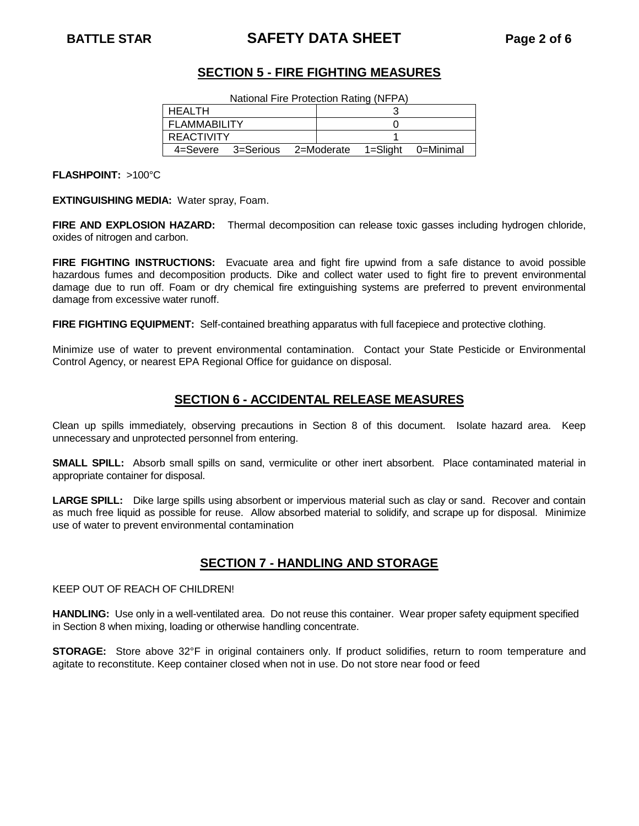# **BATTLE STAR SAFETY DATA SHEET Page 2 of 6**

## **SECTION 5 - FIRE FIGHTING MEASURES**

National Fire Protection Rating (NFPA)

| <b>HEALTH</b>                 |  |          |           |
|-------------------------------|--|----------|-----------|
| <b>FLAMMABILITY</b>           |  |          |           |
| <b>REACTIVITY</b>             |  |          |           |
| 4=Severe 3=Serious 2=Moderate |  | 1=Sliaht | 0=Minimal |

**FLASHPOINT:** >100°C

**EXTINGUISHING MEDIA:** Water spray, Foam.

**FIRE AND EXPLOSION HAZARD:** Thermal decomposition can release toxic gasses including hydrogen chloride, oxides of nitrogen and carbon.

**FIRE FIGHTING INSTRUCTIONS:** Evacuate area and fight fire upwind from a safe distance to avoid possible hazardous fumes and decomposition products. Dike and collect water used to fight fire to prevent environmental damage due to run off. Foam or dry chemical fire extinguishing systems are preferred to prevent environmental damage from excessive water runoff.

**FIRE FIGHTING EQUIPMENT:** Self-contained breathing apparatus with full facepiece and protective clothing.

Minimize use of water to prevent environmental contamination. Contact your State Pesticide or Environmental Control Agency, or nearest EPA Regional Office for guidance on disposal.

## **SECTION 6 - ACCIDENTAL RELEASE MEASURES**

Clean up spills immediately, observing precautions in Section 8 of this document. Isolate hazard area. Keep unnecessary and unprotected personnel from entering.

**SMALL SPILL:** Absorb small spills on sand, vermiculite or other inert absorbent. Place contaminated material in appropriate container for disposal.

**LARGE SPILL:** Dike large spills using absorbent or impervious material such as clay or sand. Recover and contain as much free liquid as possible for reuse. Allow absorbed material to solidify, and scrape up for disposal. Minimize use of water to prevent environmental contamination

## **SECTION 7 - HANDLING AND STORAGE**

KEEP OUT OF REACH OF CHILDREN!

**HANDLING:** Use only in a well-ventilated area. Do not reuse this container. Wear proper safety equipment specified in Section 8 when mixing, loading or otherwise handling concentrate.

**STORAGE:** Store above 32°F in original containers only. If product solidifies, return to room temperature and agitate to reconstitute. Keep container closed when not in use. Do not store near food or feed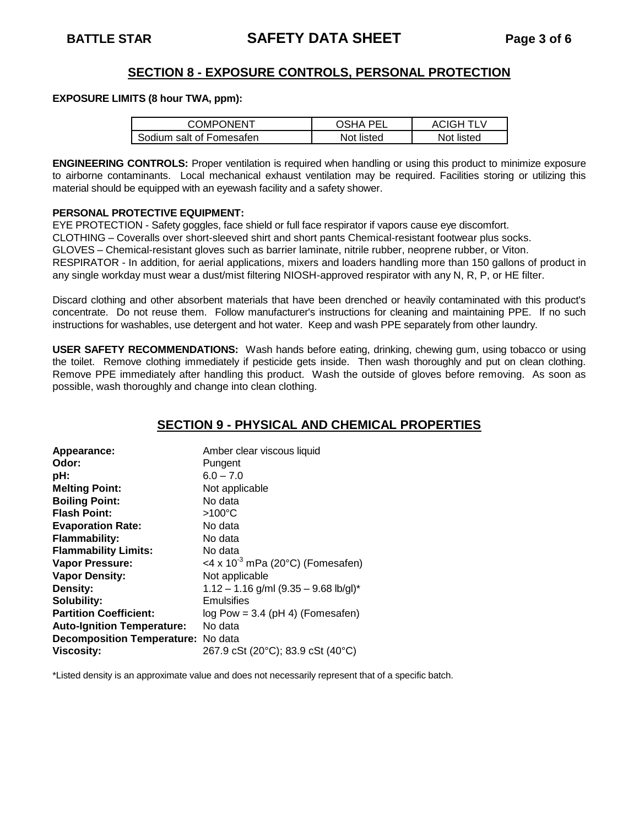### **SECTION 8 - EXPOSURE CONTROLS, PERSONAL PROTECTION**

#### **EXPOSURE LIMITS (8 hour TWA, ppm):**

| COMPONENT                | -DE I<br>)SHA | ACIGH TLV  |
|--------------------------|---------------|------------|
| Sodium salt of Fomesafen | Not listed    | Not listed |

**ENGINEERING CONTROLS:** Proper ventilation is required when handling or using this product to minimize exposure to airborne contaminants. Local mechanical exhaust ventilation may be required. Facilities storing or utilizing this material should be equipped with an eyewash facility and a safety shower.

#### **PERSONAL PROTECTIVE EQUIPMENT:**

EYE PROTECTION - Safety goggles, face shield or full face respirator if vapors cause eye discomfort. CLOTHING – Coveralls over short-sleeved shirt and short pants Chemical-resistant footwear plus socks. GLOVES – Chemical-resistant gloves such as barrier laminate, nitrile rubber, neoprene rubber, or Viton. RESPIRATOR - In addition, for aerial applications, mixers and loaders handling more than 150 gallons of product in any single workday must wear a dust/mist filtering NIOSH-approved respirator with any N, R, P, or HE filter.

Discard clothing and other absorbent materials that have been drenched or heavily contaminated with this product's concentrate. Do not reuse them. Follow manufacturer's instructions for cleaning and maintaining PPE. If no such instructions for washables, use detergent and hot water. Keep and wash PPE separately from other laundry.

**USER SAFETY RECOMMENDATIONS:** Wash hands before eating, drinking, chewing gum, using tobacco or using the toilet. Remove clothing immediately if pesticide gets inside. Then wash thoroughly and put on clean clothing. Remove PPE immediately after handling this product. Wash the outside of gloves before removing. As soon as possible, wash thoroughly and change into clean clothing.

## **SECTION 9 - PHYSICAL AND CHEMICAL PROPERTIES**

| Appearance:                        | Amber clear viscous liquid              |
|------------------------------------|-----------------------------------------|
| Odor:                              | Pungent                                 |
| pH:                                | $6.0 - 7.0$                             |
| <b>Melting Point:</b>              | Not applicable                          |
| <b>Boiling Point:</b>              | No data                                 |
| <b>Flash Point:</b>                | $>100^{\circ}$ C                        |
| <b>Evaporation Rate:</b>           | No data                                 |
| <b>Flammability:</b>               | No data                                 |
| <b>Flammability Limits:</b>        | No data                                 |
| Vapor Pressure:                    | <4 x $10^{-3}$ mPa (20°C) (Fomesafen)   |
| <b>Vapor Density:</b>              | Not applicable                          |
| Density:                           | $1.12 - 1.16$ g/ml (9.35 - 9.68 lb/gl)* |
| Solubility:                        | Emulsifies                              |
| <b>Partition Coefficient:</b>      | $log Pow = 3.4$ (pH 4) (Fomesafen)      |
| <b>Auto-Ignition Temperature:</b>  | No data                                 |
| Decomposition Temperature: No data |                                         |
| <b>Viscosity:</b>                  | 267.9 cSt (20°C); 83.9 cSt (40°C)       |

\*Listed density is an approximate value and does not necessarily represent that of a specific batch.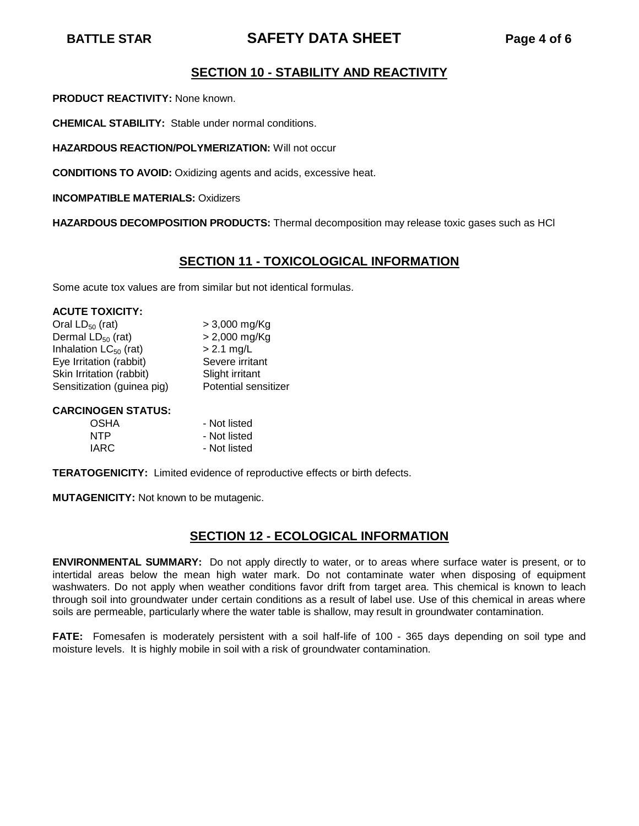# **BATTLE STAR SAFETY DATA SHEET Page 4 of 6**

## **SECTION 10 - STABILITY AND REACTIVITY**

**PRODUCT REACTIVITY:** None known.

**CHEMICAL STABILITY:** Stable under normal conditions.

**HAZARDOUS REACTION/POLYMERIZATION:** Will not occur

**CONDITIONS TO AVOID:** Oxidizing agents and acids, excessive heat.

**INCOMPATIBLE MATERIALS:** Oxidizers

**HAZARDOUS DECOMPOSITION PRODUCTS:** Thermal decomposition may release toxic gases such as HCl

### **SECTION 11 - TOXICOLOGICAL INFORMATION**

Some acute tox values are from similar but not identical formulas.

#### **ACUTE TOXICITY:**

| Oral $LD_{50}$ (rat)       | $> 3,000$ mg/Kg             |
|----------------------------|-----------------------------|
| Dermal $LD_{50}$ (rat)     | $> 2,000$ mg/Kg             |
| Inhalation $LC_{50}$ (rat) | $> 2.1$ mg/L                |
| Eye Irritation (rabbit)    | Severe irritant             |
| Skin Irritation (rabbit)   | Slight irritant             |
| Sensitization (guinea pig) | <b>Potential sensitizer</b> |

#### **CARCINOGEN STATUS:**

| - Not listed |
|--------------|
| - Not listed |
| - Not listed |
|              |

**TERATOGENICITY:** Limited evidence of reproductive effects or birth defects.

**MUTAGENICITY:** Not known to be mutagenic.

## **SECTION 12 - ECOLOGICAL INFORMATION**

**ENVIRONMENTAL SUMMARY:** Do not apply directly to water, or to areas where surface water is present, or to intertidal areas below the mean high water mark. Do not contaminate water when disposing of equipment washwaters. Do not apply when weather conditions favor drift from target area. This chemical is known to leach through soil into groundwater under certain conditions as a result of label use. Use of this chemical in areas where soils are permeable, particularly where the water table is shallow, may result in groundwater contamination.

**FATE:** Fomesafen is moderately persistent with a soil half-life of 100 - 365 days depending on soil type and moisture levels. It is highly mobile in soil with a risk of groundwater contamination.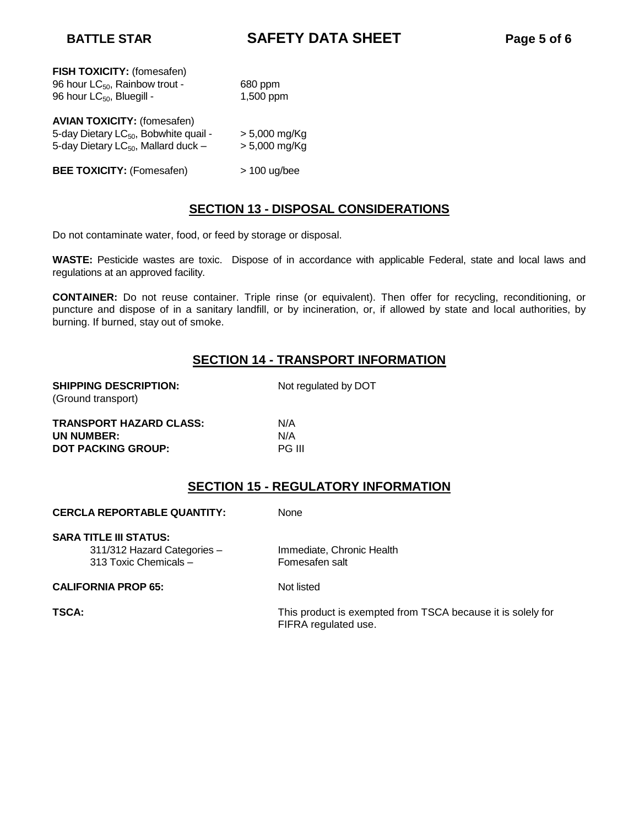**BATTLE STAR SAFETY DATA SHEET Page 5 of 6**

| FISH TOXICITY: (fomesafen)<br>96 hour LC <sub>50</sub> , Rainbow trout -<br>96 hour LC <sub>50</sub> , Bluegill -                    | 680 ppm<br>1,500 ppm               |
|--------------------------------------------------------------------------------------------------------------------------------------|------------------------------------|
| <b>AVIAN TOXICITY: (fomesafen)</b><br>5-day Dietary LC <sub>50</sub> , Bobwhite quail -<br>5-day Dietary LC $_{50}$ , Mallard duck - | $> 5,000$ mg/Kg<br>$> 5,000$ mg/Kg |
| <b>BEE TOXICITY: (Fomesafen)</b>                                                                                                     | $>$ 100 ug/bee                     |

#### **SECTION 13 - DISPOSAL CONSIDERATIONS**

Do not contaminate water, food, or feed by storage or disposal.

**WASTE:** Pesticide wastes are toxic. Dispose of in accordance with applicable Federal, state and local laws and regulations at an approved facility.

**CONTAINER:** Do not reuse container. Triple rinse (or equivalent). Then offer for recycling, reconditioning, or puncture and dispose of in a sanitary landfill, or by incineration, or, if allowed by state and local authorities, by burning. If burned, stay out of smoke.

### **SECTION 14 - TRANSPORT INFORMATION**

| <b>SHIPPING DESCRIPTION:</b><br>(Ground transport) | Not regulated by DOT |
|----------------------------------------------------|----------------------|
| <b>TRANSPORT HAZARD CLASS:</b>                     | N/A                  |
| <b>IIN NIIMRER.</b>                                | NΙ/Δ                 |

UN NUMBER: N/A **DOT PACKING GROUP:** PG III

#### **SECTION 15 - REGULATORY INFORMATION**

**CERCLA REPORTABLE QUANTITY:** None

**SARA TITLE III STATUS:**

313 Toxic Chemicals – Fomesafen salt

311/312 Hazard Categories – Immediate, Chronic Health

#### **CALIFORNIA PROP 65:** Not listed

**TSCA:** TSCA: This product is exempted from TSCA because it is solely for FIFRA regulated use.